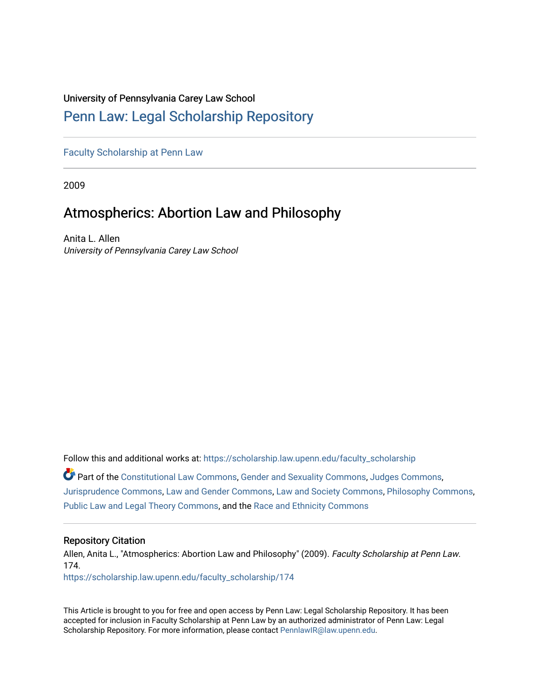## University of Pennsylvania Carey Law School

# [Penn Law: Legal Scholarship Repository](https://scholarship.law.upenn.edu/)

[Faculty Scholarship at Penn Law](https://scholarship.law.upenn.edu/faculty_scholarship)

2009

# Atmospherics: Abortion Law and Philosophy

Anita L. Allen University of Pennsylvania Carey Law School

Follow this and additional works at: [https://scholarship.law.upenn.edu/faculty\\_scholarship](https://scholarship.law.upenn.edu/faculty_scholarship?utm_source=scholarship.law.upenn.edu%2Ffaculty_scholarship%2F174&utm_medium=PDF&utm_campaign=PDFCoverPages)  Part of the [Constitutional Law Commons,](http://network.bepress.com/hgg/discipline/589?utm_source=scholarship.law.upenn.edu%2Ffaculty_scholarship%2F174&utm_medium=PDF&utm_campaign=PDFCoverPages) [Gender and Sexuality Commons](http://network.bepress.com/hgg/discipline/420?utm_source=scholarship.law.upenn.edu%2Ffaculty_scholarship%2F174&utm_medium=PDF&utm_campaign=PDFCoverPages), [Judges Commons](http://network.bepress.com/hgg/discipline/849?utm_source=scholarship.law.upenn.edu%2Ffaculty_scholarship%2F174&utm_medium=PDF&utm_campaign=PDFCoverPages), [Jurisprudence Commons](http://network.bepress.com/hgg/discipline/610?utm_source=scholarship.law.upenn.edu%2Ffaculty_scholarship%2F174&utm_medium=PDF&utm_campaign=PDFCoverPages), [Law and Gender Commons,](http://network.bepress.com/hgg/discipline/1298?utm_source=scholarship.law.upenn.edu%2Ffaculty_scholarship%2F174&utm_medium=PDF&utm_campaign=PDFCoverPages) [Law and Society Commons](http://network.bepress.com/hgg/discipline/853?utm_source=scholarship.law.upenn.edu%2Ffaculty_scholarship%2F174&utm_medium=PDF&utm_campaign=PDFCoverPages), [Philosophy Commons,](http://network.bepress.com/hgg/discipline/525?utm_source=scholarship.law.upenn.edu%2Ffaculty_scholarship%2F174&utm_medium=PDF&utm_campaign=PDFCoverPages) [Public Law and Legal Theory Commons,](http://network.bepress.com/hgg/discipline/871?utm_source=scholarship.law.upenn.edu%2Ffaculty_scholarship%2F174&utm_medium=PDF&utm_campaign=PDFCoverPages) and the [Race and Ethnicity Commons](http://network.bepress.com/hgg/discipline/426?utm_source=scholarship.law.upenn.edu%2Ffaculty_scholarship%2F174&utm_medium=PDF&utm_campaign=PDFCoverPages)

#### Repository Citation

Allen, Anita L., "Atmospherics: Abortion Law and Philosophy" (2009). Faculty Scholarship at Penn Law. 174.

[https://scholarship.law.upenn.edu/faculty\\_scholarship/174](https://scholarship.law.upenn.edu/faculty_scholarship/174?utm_source=scholarship.law.upenn.edu%2Ffaculty_scholarship%2F174&utm_medium=PDF&utm_campaign=PDFCoverPages) 

This Article is brought to you for free and open access by Penn Law: Legal Scholarship Repository. It has been accepted for inclusion in Faculty Scholarship at Penn Law by an authorized administrator of Penn Law: Legal Scholarship Repository. For more information, please contact [PennlawIR@law.upenn.edu.](mailto:PennlawIR@law.upenn.edu)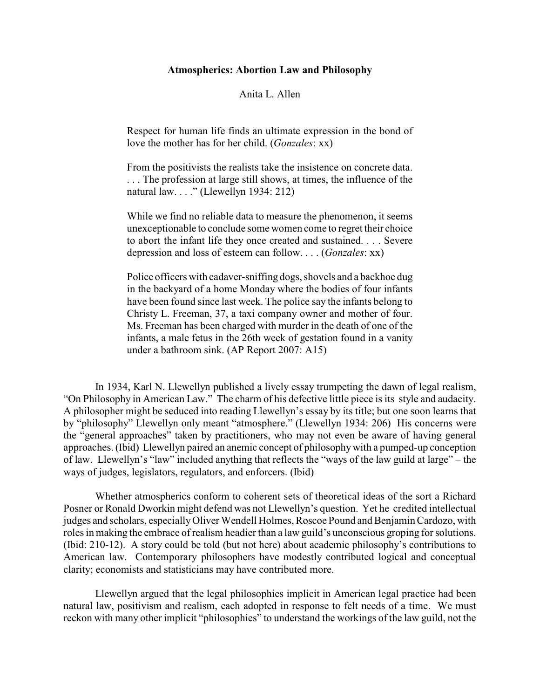### **Atmospherics: Abortion Law and Philosophy**

### Anita L. Allen

Respect for human life finds an ultimate expression in the bond of love the mother has for her child. (*Gonzales*: xx)

From the positivists the realists take the insistence on concrete data. . . . The profession at large still shows, at times, the influence of the natural law. . . ." (Llewellyn 1934: 212)

While we find no reliable data to measure the phenomenon, it seems unexceptionable to conclude some women come to regret their choice to abort the infant life they once created and sustained. . . . Severe depression and loss of esteem can follow. . . . (*Gonzales*: xx)

Police officers with cadaver-sniffing dogs, shovels and a backhoe dug in the backyard of a home Monday where the bodies of four infants have been found since last week. The police say the infants belong to Christy L. Freeman, 37, a taxi company owner and mother of four. Ms. Freeman has been charged with murder in the death of one of the infants, a male fetus in the 26th week of gestation found in a vanity under a bathroom sink. (AP Report 2007: A15)

In 1934, Karl N. Llewellyn published a lively essay trumpeting the dawn of legal realism, "On Philosophy in American Law." The charm of his defective little piece is its style and audacity. A philosopher might be seduced into reading Llewellyn's essay by its title; but one soon learns that by "philosophy" Llewellyn only meant "atmosphere." (Llewellyn 1934: 206) His concerns were the "general approaches" taken by practitioners, who may not even be aware of having general approaches. (Ibid) Llewellyn paired an anemic concept of philosophy with a pumped-up conception of law. Llewellyn's "law" included anything that reflects the "ways of the law guild at large" – the ways of judges, legislators, regulators, and enforcers. (Ibid)

Whether atmospherics conform to coherent sets of theoretical ideas of the sort a Richard Posner or Ronald Dworkin might defend was not Llewellyn's question. Yet he credited intellectual judges and scholars, especiallyOliver Wendell Holmes, Roscoe Pound and Benjamin Cardozo, with roles in making the embrace of realism headier than a law guild's unconscious groping for solutions. (Ibid: 210-12). A story could be told (but not here) about academic philosophy's contributions to American law. Contemporary philosophers have modestly contributed logical and conceptual clarity; economists and statisticians may have contributed more.

Llewellyn argued that the legal philosophies implicit in American legal practice had been natural law, positivism and realism, each adopted in response to felt needs of a time. We must reckon with many other implicit "philosophies" to understand the workings of the law guild, not the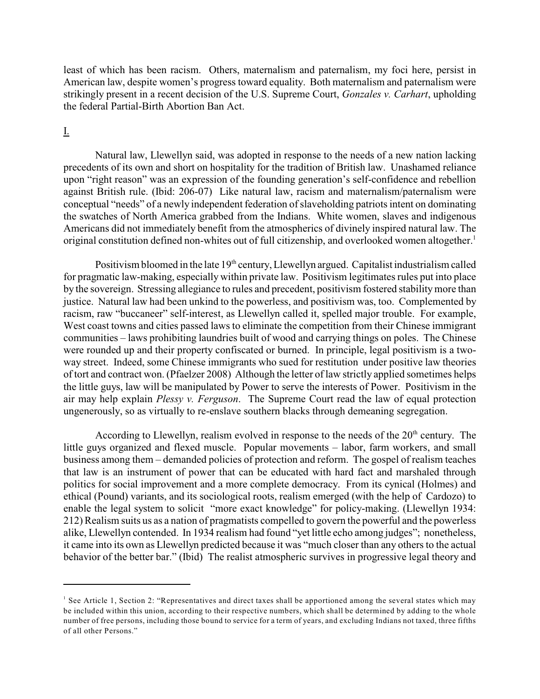least of which has been racism. Others, maternalism and paternalism, my foci here, persist in American law, despite women's progress toward equality. Both maternalism and paternalism were strikingly present in a recent decision of the U.S. Supreme Court, *Gonzales v. Carhart*, upholding the federal Partial-Birth Abortion Ban Act.

# I.

Natural law, Llewellyn said, was adopted in response to the needs of a new nation lacking precedents of its own and short on hospitality for the tradition of British law. Unashamed reliance upon "right reason" was an expression of the founding generation's self-confidence and rebellion against British rule. (Ibid: 206-07) Like natural law, racism and maternalism/paternalism were conceptual "needs" of a newly independent federation of slaveholding patriots intent on dominating the swatches of North America grabbed from the Indians. White women, slaves and indigenous Americans did not immediately benefit from the atmospherics of divinely inspired natural law. The original constitution defined non-whites out of full citizenship, and overlooked women altogether.<sup>1</sup>

Positivism bloomed in the late  $19<sup>th</sup>$  century, Llewellyn argued. Capitalist industrialism called for pragmatic law-making, especially within private law. Positivism legitimates rules put into place by the sovereign. Stressing allegiance to rules and precedent, positivism fostered stability more than justice. Natural law had been unkind to the powerless, and positivism was, too. Complemented by racism, raw "buccaneer" self-interest, as Llewellyn called it, spelled major trouble. For example, West coast towns and cities passed laws to eliminate the competition from their Chinese immigrant communities – laws prohibiting laundries built of wood and carrying things on poles. The Chinese were rounded up and their property confiscated or burned. In principle, legal positivism is a twoway street. Indeed, some Chinese immigrants who sued for restitution under positive law theories of tort and contract won. (Pfaelzer 2008) Although the letter of law strictly applied sometimes helps the little guys, law will be manipulated by Power to serve the interests of Power. Positivism in the air may help explain *Plessy v. Ferguson*. The Supreme Court read the law of equal protection ungenerously, so as virtually to re-enslave southern blacks through demeaning segregation.

According to Llewellyn, realism evolved in response to the needs of the  $20<sup>th</sup>$  century. The little guys organized and flexed muscle. Popular movements – labor, farm workers, and small business among them – demanded policies of protection and reform. The gospel of realism teaches that law is an instrument of power that can be educated with hard fact and marshaled through politics for social improvement and a more complete democracy. From its cynical (Holmes) and ethical (Pound) variants, and its sociological roots, realism emerged (with the help of Cardozo) to enable the legal system to solicit "more exact knowledge" for policy-making. (Llewellyn 1934: 212) Realism suits us as a nation of pragmatists compelled to govern the powerful and the powerless alike, Llewellyn contended. In 1934 realism had found "yet little echo among judges"; nonetheless, it came into its own as Llewellyn predicted because it was "much closer than any others to the actual behavior of the better bar." (Ibid) The realist atmospheric survives in progressive legal theory and

<sup>&</sup>lt;sup>1</sup> See Article 1, Section 2: "Representatives and direct taxes shall be apportioned among the several states which may be included within this union, according to their respective numbers, which shall be determined by adding to the whole number of free persons, including those bound to service for a term of years, and excluding Indians not taxed, three fifths of all other Persons."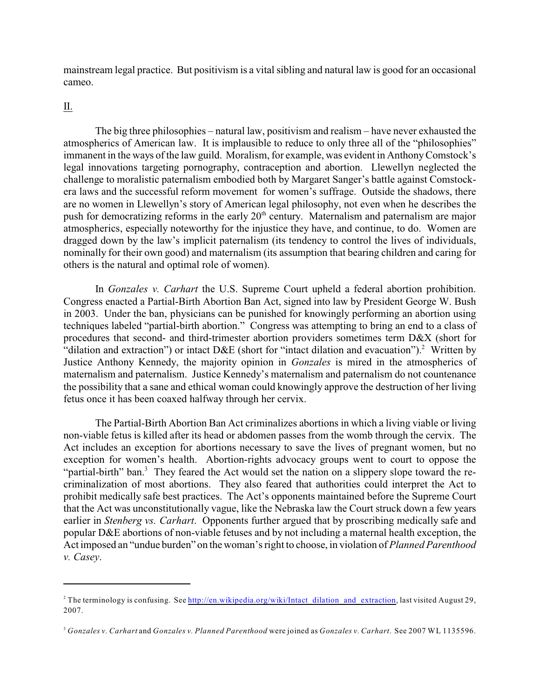mainstream legal practice. But positivism is a vital sibling and natural law is good for an occasional cameo.

# II.

The big three philosophies – natural law, positivism and realism – have never exhausted the atmospherics of American law. It is implausible to reduce to only three all of the "philosophies" immanent in the ways of the law guild. Moralism, for example, was evident in Anthony Comstock's legal innovations targeting pornography, contraception and abortion. Llewellyn neglected the challenge to moralistic paternalism embodied both by Margaret Sanger's battle against Comstockera laws and the successful reform movement for women's suffrage. Outside the shadows, there are no women in Llewellyn's story of American legal philosophy, not even when he describes the push for democratizing reforms in the early  $20<sup>th</sup>$  century. Maternalism and paternalism are major atmospherics, especially noteworthy for the injustice they have, and continue, to do. Women are dragged down by the law's implicit paternalism (its tendency to control the lives of individuals, nominally for their own good) and maternalism (its assumption that bearing children and caring for others is the natural and optimal role of women).

In *Gonzales v. Carhart* the U.S. Supreme Court upheld a federal abortion prohibition. Congress enacted a Partial-Birth Abortion Ban Act, signed into law by President George W. Bush in 2003. Under the ban, physicians can be punished for knowingly performing an abortion using techniques labeled "partial-birth abortion." Congress was attempting to bring an end to a class of procedures that second- and third-trimester abortion providers sometimes term D&X (short for "dilation and extraction") or intact D&E (short for "intact dilation and evacuation").<sup>2</sup> Written by Justice Anthony Kennedy, the majority opinion in *Gonzales* is mired in the atmospherics of maternalism and paternalism. Justice Kennedy's maternalism and paternalism do not countenance the possibility that a sane and ethical woman could knowingly approve the destruction of her living fetus once it has been coaxed halfway through her cervix.

The Partial-Birth Abortion Ban Act criminalizes abortions in which a living viable or living non-viable fetus is killed after its head or abdomen passes from the womb through the cervix. The Act includes an exception for abortions necessary to save the lives of pregnant women, but no exception for women's health. Abortion-rights advocacy groups went to court to oppose the "partial-birth" ban.<sup>3</sup> They feared the Act would set the nation on a slippery slope toward the recriminalization of most abortions. They also feared that authorities could interpret the Act to prohibit medically safe best practices. The Act's opponents maintained before the Supreme Court that the Act was unconstitutionally vague, like the Nebraska law the Court struck down a few years earlier in *Stenberg vs. Carhart*. Opponents further argued that by proscribing medically safe and popular D&E abortions of non-viable fetuses and by not including a maternal health exception, the Act imposed an "undue burden" on the woman's right to choose, in violation of *Planned Parenthood v. Casey*.

<sup>&</sup>lt;sup>2</sup> The terminology is confusing. See [http://en.wikipedia.org/wiki/Intact\\_dilation\\_and\\_extraction](http://en.wikipedia.org/wiki/Intact_dilation_and), last visited August 29, 2007.

*Gonzales v. Carhart* and *Gonzales v. Planned Parenthood* were joined as *Gonzales v. Carhart*. See 2007 WL 1135596. <sup>3</sup>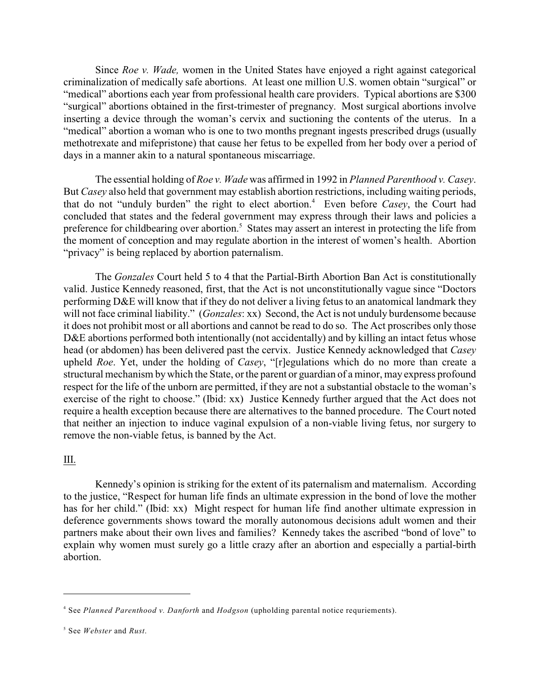Since *Roe v. Wade,* women in the United States have enjoyed a right against categorical criminalization of medically safe abortions. At least one million U.S. women obtain "surgical" or "medical" abortions each year from professional health care providers. Typical abortions are \$300 "surgical" abortions obtained in the first-trimester of pregnancy. Most surgical abortions involve inserting a device through the woman's cervix and suctioning the contents of the uterus. In a "medical" abortion a woman who is one to two months pregnant ingests prescribed drugs (usually methotrexate and mifepristone) that cause her fetus to be expelled from her body over a period of days in a manner akin to a natural spontaneous miscarriage.

The essential holding of *Roe v. Wade* was affirmed in 1992 in *Planned Parenthood v. Casey*. But *Casey* also held that government may establish abortion restrictions, including waiting periods, that do not "unduly burden" the right to elect abortion.<sup>4</sup> Even before *Casey*, the Court had concluded that states and the federal government may express through their laws and policies a preference for childbearing over abortion.<sup>5</sup> States may assert an interest in protecting the life from the moment of conception and may regulate abortion in the interest of women's health. Abortion "privacy" is being replaced by abortion paternalism.

The *Gonzales* Court held 5 to 4 that the Partial-Birth Abortion Ban Act is constitutionally valid. Justice Kennedy reasoned, first, that the Act is not unconstitutionally vague since "Doctors performing D&E will know that if they do not deliver a living fetus to an anatomical landmark they will not face criminal liability." (*Gonzales*: xx) Second, the Act is not unduly burdensome because it does not prohibit most or all abortions and cannot be read to do so. The Act proscribes only those D&E abortions performed both intentionally (not accidentally) and by killing an intact fetus whose head (or abdomen) has been delivered past the cervix. Justice Kennedy acknowledged that *Casey* upheld *Roe*. Yet, under the holding of *Casey*, "[r]egulations which do no more than create a structural mechanism by which the State, or the parent or guardian of a minor, may express profound respect for the life of the unborn are permitted, if they are not a substantial obstacle to the woman's exercise of the right to choose." (Ibid: xx) Justice Kennedy further argued that the Act does not require a health exception because there are alternatives to the banned procedure. The Court noted that neither an injection to induce vaginal expulsion of a non-viable living fetus, nor surgery to remove the non-viable fetus, is banned by the Act.

## III.

Kennedy's opinion is striking for the extent of its paternalism and maternalism. According to the justice, "Respect for human life finds an ultimate expression in the bond of love the mother has for her child." (Ibid: xx) Might respect for human life find another ultimate expression in deference governments shows toward the morally autonomous decisions adult women and their partners make about their own lives and families? Kennedy takes the ascribed "bond of love" to explain why women must surely go a little crazy after an abortion and especially a partial-birth abortion.

<sup>&</sup>lt;sup>4</sup> See Planned Parenthood v. Danforth and Hodgson (upholding parental notice requriements).

See *Webster* and *Rust*. 5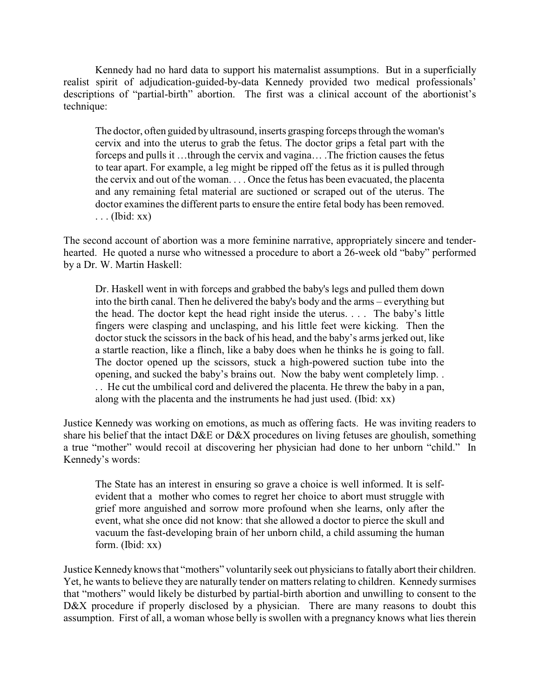Kennedy had no hard data to support his maternalist assumptions. But in a superficially realist spirit of adjudication-guided-by-data Kennedy provided two medical professionals' descriptions of "partial-birth" abortion. The first was a clinical account of the abortionist's technique:

The doctor, often guided by ultrasound, inserts grasping forceps through the woman's cervix and into the uterus to grab the fetus. The doctor grips a fetal part with the forceps and pulls it …through the cervix and vagina… .The friction causes the fetus to tear apart. For example, a leg might be ripped off the fetus as it is pulled through the cervix and out of the woman. . . . Once the fetus has been evacuated, the placenta and any remaining fetal material are suctioned or scraped out of the uterus. The doctor examines the different parts to ensure the entire fetal body has been removed. . . . (Ibid: xx)

The second account of abortion was a more feminine narrative, appropriately sincere and tenderhearted. He quoted a nurse who witnessed a procedure to abort a 26-week old "baby" performed by a Dr. W. Martin Haskell:

Dr. Haskell went in with forceps and grabbed the baby's legs and pulled them down into the birth canal. Then he delivered the baby's body and the arms – everything but the head. The doctor kept the head right inside the uterus. . . . The baby's little fingers were clasping and unclasping, and his little feet were kicking. Then the doctor stuck the scissors in the back of his head, and the baby's arms jerked out, like a startle reaction, like a flinch, like a baby does when he thinks he is going to fall. The doctor opened up the scissors, stuck a high-powered suction tube into the opening, and sucked the baby's brains out. Now the baby went completely limp. . . . He cut the umbilical cord and delivered the placenta. He threw the baby in a pan, along with the placenta and the instruments he had just used. (Ibid: xx)

Justice Kennedy was working on emotions, as much as offering facts. He was inviting readers to share his belief that the intact D&E or D&X procedures on living fetuses are ghoulish, something a true "mother" would recoil at discovering her physician had done to her unborn "child." In Kennedy's words:

The State has an interest in ensuring so grave a choice is well informed. It is selfevident that a mother who comes to regret her choice to abort must struggle with grief more anguished and sorrow more profound when she learns, only after the event, what she once did not know: that she allowed a doctor to pierce the skull and vacuum the fast-developing brain of her unborn child, a child assuming the human form. (Ibid: xx)

Justice Kennedy knows that "mothers" voluntarily seek out physicians to fatally abort their children. Yet, he wants to believe they are naturally tender on matters relating to children. Kennedy surmises that "mothers" would likely be disturbed by partial-birth abortion and unwilling to consent to the D&X procedure if properly disclosed by a physician. There are many reasons to doubt this assumption. First of all, a woman whose belly is swollen with a pregnancy knows what lies therein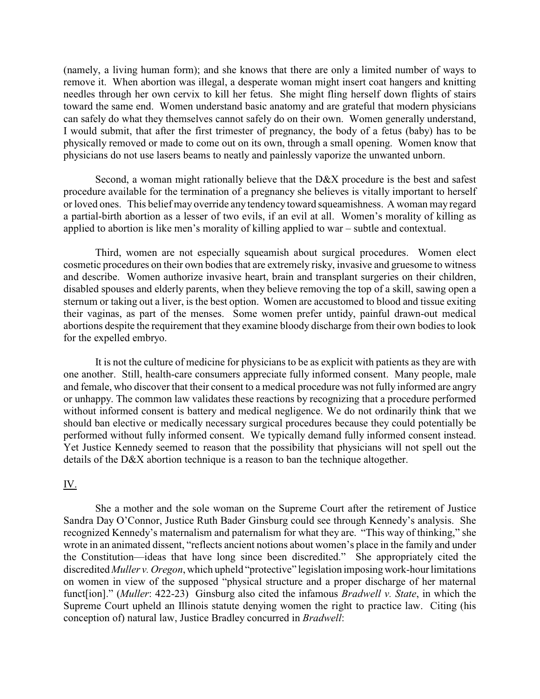(namely, a living human form); and she knows that there are only a limited number of ways to remove it. When abortion was illegal, a desperate woman might insert coat hangers and knitting needles through her own cervix to kill her fetus. She might fling herself down flights of stairs toward the same end. Women understand basic anatomy and are grateful that modern physicians can safely do what they themselves cannot safely do on their own. Women generally understand, I would submit, that after the first trimester of pregnancy, the body of a fetus (baby) has to be physically removed or made to come out on its own, through a small opening. Women know that physicians do not use lasers beams to neatly and painlessly vaporize the unwanted unborn.

Second, a woman might rationally believe that the D&X procedure is the best and safest procedure available for the termination of a pregnancy she believes is vitally important to herself or loved ones. This belief may override any tendency toward squeamishness. A woman may regard a partial-birth abortion as a lesser of two evils, if an evil at all. Women's morality of killing as applied to abortion is like men's morality of killing applied to war – subtle and contextual.

Third, women are not especially squeamish about surgical procedures. Women elect cosmetic procedures on their own bodies that are extremely risky, invasive and gruesome to witness and describe. Women authorize invasive heart, brain and transplant surgeries on their children, disabled spouses and elderly parents, when they believe removing the top of a skill, sawing open a sternum or taking out a liver, is the best option. Women are accustomed to blood and tissue exiting their vaginas, as part of the menses. Some women prefer untidy, painful drawn-out medical abortions despite the requirement that they examine bloody discharge from their own bodies to look for the expelled embryo.

It is not the culture of medicine for physicians to be as explicit with patients as they are with one another. Still, health-care consumers appreciate fully informed consent. Many people, male and female, who discover that their consent to a medical procedure was not fully informed are angry or unhappy. The common law validates these reactions by recognizing that a procedure performed without informed consent is battery and medical negligence. We do not ordinarily think that we should ban elective or medically necessary surgical procedures because they could potentially be performed without fully informed consent. We typically demand fully informed consent instead. Yet Justice Kennedy seemed to reason that the possibility that physicians will not spell out the details of the D&X abortion technique is a reason to ban the technique altogether.

### IV.

She a mother and the sole woman on the Supreme Court after the retirement of Justice Sandra Day O'Connor, Justice Ruth Bader Ginsburg could see through Kennedy's analysis. She recognized Kennedy's maternalism and paternalism for what they are. "This way of thinking," she wrote in an animated dissent, "reflects ancient notions about women's place in the family and under the Constitution—ideas that have long since been discredited." She appropriately cited the discredited *Muller v. Oregon*, which upheld "protective" legislation imposing work-hour limitations on women in view of the supposed "physical structure and a proper discharge of her maternal funct[ion]." (*Muller*: 422-23) Ginsburg also cited the infamous *Bradwell v. State*, in which the Supreme Court upheld an Illinois statute denying women the right to practice law. Citing (his conception of) natural law, Justice Bradley concurred in *Bradwell*: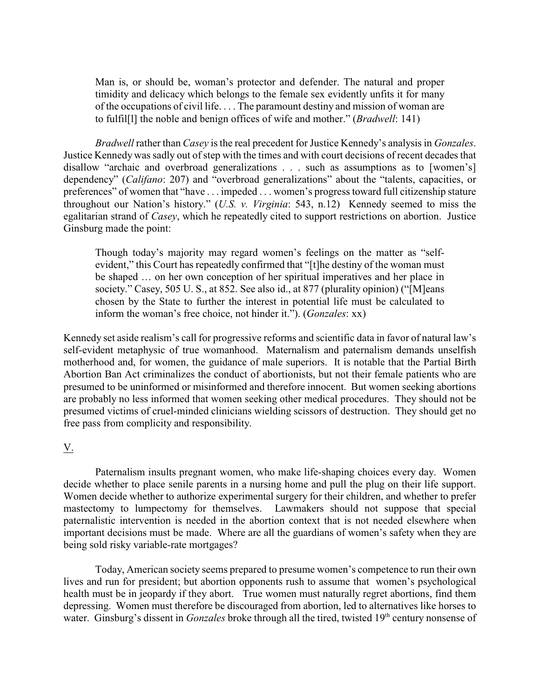Man is, or should be, woman's protector and defender. The natural and proper timidity and delicacy which belongs to the female sex evidently unfits it for many of the occupations of civil life. . . . The paramount destiny and mission of woman are to fulfil[l] the noble and benign offices of wife and mother." (*Bradwell*: 141)

*Bradwell* rather than *Casey* is the real precedent for Justice Kennedy's analysis in *Gonzales*. Justice Kennedy was sadly out of step with the times and with court decisions of recent decades that disallow "archaic and overbroad generalizations . . . such as assumptions as to [women's] dependency" (*Califano*: 207) and "overbroad generalizations" about the "talents, capacities, or preferences" of women that "have . . . impeded . . . women's progress toward full citizenship stature throughout our Nation's history." (*U.S. v. Virginia*: 543, n.12) Kennedy seemed to miss the egalitarian strand of *Casey*, which he repeatedly cited to support restrictions on abortion. Justice Ginsburg made the point:

Though today's majority may regard women's feelings on the matter as "selfevident," this Court has repeatedly confirmed that "[t]he destiny of the woman must be shaped … on her own conception of her spiritual imperatives and her place in society." Casey, 505 U. S., at 852. See also id., at 877 (plurality opinion) ("M eans" chosen by the State to further the interest in potential life must be calculated to inform the woman's free choice, not hinder it."). (*Gonzales*: xx)

Kennedy set aside realism's call for progressive reforms and scientific data in favor of natural law's self-evident metaphysic of true womanhood. Maternalism and paternalism demands unselfish motherhood and, for women, the guidance of male superiors. It is notable that the Partial Birth Abortion Ban Act criminalizes the conduct of abortionists, but not their female patients who are presumed to be uninformed or misinformed and therefore innocent. But women seeking abortions are probably no less informed that women seeking other medical procedures. They should not be presumed victims of cruel-minded clinicians wielding scissors of destruction. They should get no free pass from complicity and responsibility.

## V.

Paternalism insults pregnant women, who make life-shaping choices every day. Women decide whether to place senile parents in a nursing home and pull the plug on their life support. Women decide whether to authorize experimental surgery for their children, and whether to prefer mastectomy to lumpectomy for themselves. Lawmakers should not suppose that special paternalistic intervention is needed in the abortion context that is not needed elsewhere when important decisions must be made. Where are all the guardians of women's safety when they are being sold risky variable-rate mortgages?

Today, American society seems prepared to presume women's competence to run their own lives and run for president; but abortion opponents rush to assume that women's psychological health must be in jeopardy if they abort. True women must naturally regret abortions, find them depressing. Women must therefore be discouraged from abortion, led to alternatives like horses to water. Ginsburg's dissent in *Gonzales* broke through all the tired, twisted 19<sup>th</sup> century nonsense of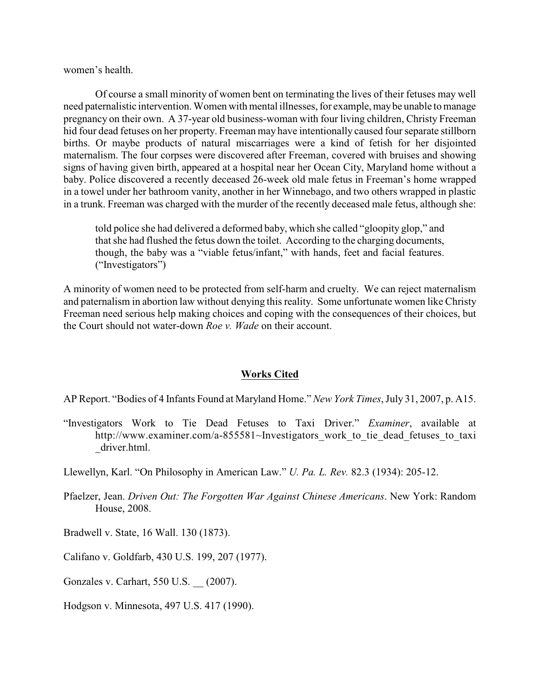women's health.

Of course a small minority of women bent on terminating the lives of their fetuses may well need paternalistic intervention. Women with mental illnesses, for example, may be unable to manage pregnancy on their own. A 37-year old business-woman with four living children, Christy Freeman hid four dead fetuses on her property. Freeman may have intentionally caused four separate stillborn births. Or maybe products of natural miscarriages were a kind of fetish for her disjointed maternalism. The four corpses were discovered after Freeman, covered with bruises and showing signs of having given birth, appeared at a hospital near her Ocean City, Maryland home without a baby. Police discovered a recently deceased 26-week old male fetus in Freeman's home wrapped in a towel under her bathroom vanity, another in her Winnebago, and two others wrapped in plastic in a trunk. Freeman was charged with the murder of the recently deceased male fetus, although she:

told police she had delivered a deformed baby, which she called "gloopity glop," and that she had flushed the fetus down the toilet. According to the charging documents, though, the baby was a "viable fetus/infant," with hands, feet and facial features. ("Investigators")

A minority of women need to be protected from self-harm and cruelty. We can reject maternalism and paternalism in abortion law without denying this reality. Some unfortunate women like Christy Freeman need serious help making choices and coping with the consequences of their choices, but the Court should not water-down *Roe v. Wade* on their account.

### **Works Cited**

AP Report. "Bodies of 4 Infants Found at Maryland Home." *New York Times*, July 31, 2007, p. A15.

"Investigators Work to Tie Dead Fetuses to Taxi Driver." *Examiner*, available at http://www.examiner.com/a-855581~Investigators work to tie dead fetuses to taxi \_driver.html.

Llewellyn, Karl. "On Philosophy in American Law." *U. Pa. L. Rev.* 82.3 (1934): 205-12.

Pfaelzer, Jean. *Driven Out: The Forgotten War Against Chinese Americans*. New York: Random House, 2008.

Bradwell v. State, 16 Wall. 130 (1873).

Califano v. Goldfarb, 430 U.S. 199, 207 (1977).

Gonzales v. Carhart, 550 U.S. (2007).

Hodgson v. Minnesota, 497 U.S. 417 (1990).